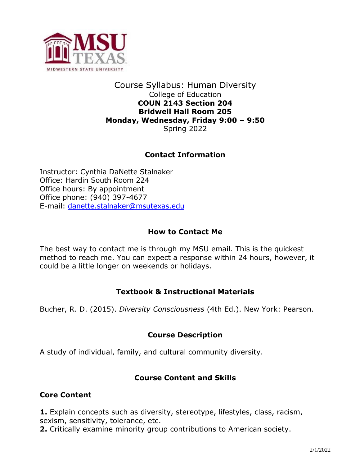

## Course Syllabus: Human Diversity College of Education **COUN 2143 Section 204 Bridwell Hall Room 205 Monday, Wednesday, Friday 9:00 – 9:50** Spring 2022

# **Contact Information**

Instructor: Cynthia DaNette Stalnaker Office: Hardin South Room 224 Office hours: By appointment Office phone: (940) 397-4677 E-mail: [danette.stalnaker@msutexas.edu](mailto:danette.stalnaker@msutexas.edu)

## **How to Contact Me**

The best way to contact me is through my MSU email. This is the quickest method to reach me. You can expect a response within 24 hours, however, it could be a little longer on weekends or holidays.

#### **Textbook & Instructional Materials**

Bucher, R. D. (2015). *Diversity Consciousness* (4th Ed.). New York: Pearson.

# **Course Description**

A study of individual, family, and cultural community diversity.

# **Course Content and Skills**

#### **Core Content**

**1.** Explain concepts such as diversity, stereotype, lifestyles, class, racism, sexism, sensitivity, tolerance, etc.

**2.** Critically examine minority group contributions to American society.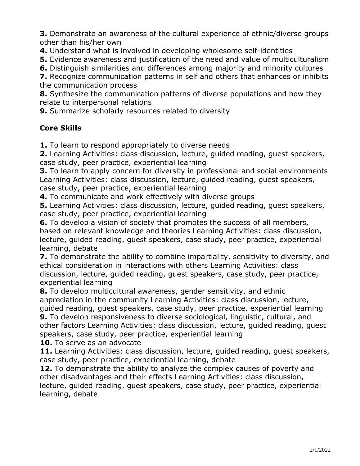**3.** Demonstrate an awareness of the cultural experience of ethnic/diverse groups other than his/her own

**4.** Understand what is involved in developing wholesome self-identities

**5.** Evidence awareness and justification of the need and value of multiculturalism

**6.** Distinguish similarities and differences among majority and minority cultures

**7.** Recognize communication patterns in self and others that enhances or inhibits the communication process

**8.** Synthesize the communication patterns of diverse populations and how they relate to interpersonal relations

**9.** Summarize scholarly resources related to diversity

# **Core Skills**

**1.** To learn to respond appropriately to diverse needs

**2.** Learning Activities: class discussion, lecture, guided reading, guest speakers, case study, peer practice, experiential learning

**3.** To learn to apply concern for diversity in professional and social environments Learning Activities: class discussion, lecture, guided reading, guest speakers, case study, peer practice, experiential learning

**4.** To communicate and work effectively with diverse groups

**5.** Learning Activities: class discussion, lecture, guided reading, guest speakers, case study, peer practice, experiential learning

**6.** To develop a vision of society that promotes the success of all members, based on relevant knowledge and theories Learning Activities: class discussion, lecture, guided reading, guest speakers, case study, peer practice, experiential learning, debate

**7.** To demonstrate the ability to combine impartiality, sensitivity to diversity, and ethical consideration in interactions with others Learning Activities: class discussion, lecture, guided reading, guest speakers, case study, peer practice, experiential learning

**8.** To develop multicultural awareness, gender sensitivity, and ethnic appreciation in the community Learning Activities: class discussion, lecture, guided reading, guest speakers, case study, peer practice, experiential learning **9.** To develop responsiveness to diverse sociological, linguistic, cultural, and other factors Learning Activities: class discussion, lecture, guided reading, guest

speakers, case study, peer practice, experiential learning

**10.** To serve as an advocate

**11.** Learning Activities: class discussion, lecture, guided reading, guest speakers, case study, peer practice, experiential learning, debate

**12.** To demonstrate the ability to analyze the complex causes of poverty and other disadvantages and their effects Learning Activities: class discussion, lecture, guided reading, guest speakers, case study, peer practice, experiential learning, debate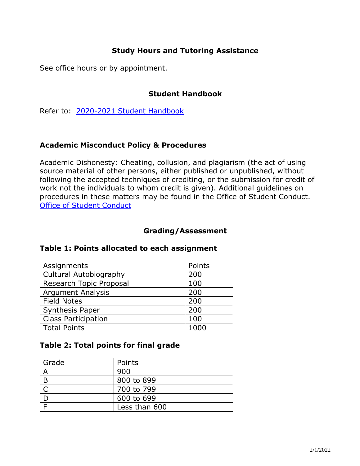# **Study Hours and Tutoring Assistance**

See office hours or by appointment.

## **Student Handbook**

Refer to: [2020-2021 Student Handbook](https://msutexas.edu/student-life/_assets/files/handbook.pdf)

## **Academic Misconduct Policy & Procedures**

Academic Dishonesty: Cheating, collusion, and plagiarism (the act of using source material of other persons, either published or unpublished, without following the accepted techniques of crediting, or the submission for credit of work not the individuals to whom credit is given). Additional guidelines on procedures in these matters may be found in the Office of Student Conduct. [Office of Student Conduct](https://mwsu.edu/student-life/conduct/)

## **Grading/Assessment**

| Assignments                   | Points |
|-------------------------------|--------|
| <b>Cultural Autobiography</b> | 200    |
| Research Topic Proposal       | 100    |
| <b>Argument Analysis</b>      | 200    |
| <b>Field Notes</b>            | 200    |
| <b>Synthesis Paper</b>        | 200    |
| <b>Class Participation</b>    | 100    |
| <b>Total Points</b>           |        |

#### **Table 1: Points allocated to each assignment**

#### **Table 2: Total points for final grade**

| Grade | Points        |
|-------|---------------|
| Α     | 900           |
| B     | 800 to 899    |
|       | 700 to 799    |
|       | 600 to 699    |
|       | Less than 600 |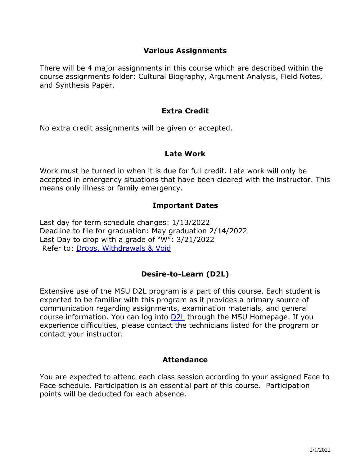## **Various Assignments**

There will be 4 major assignments in this course which are described within the course assignments folder: Cultural Biography, Argument Analysis, Field Notes, and Synthesis Paper.

## **Extra Credit**

No extra credit assignments will be given or accepted.

#### **Late Work**

Work must be turned in when it is due for full credit. Late work will only be accepted in emergency situations that have been cleared with the instructor. This means only illness or family emergency.

## **Important Dates**

Last day for term schedule changes: 1/13/2022 Deadline to file for graduation: May graduation 2/14/2022 Last Day to drop with a grade of "W": 3/21/2022 Refer to: [Drops, Withdrawals & Void](https://mwsu.edu/student-life/development/learning/index)

# **Desire-to-Learn (D2L)**

Extensive use of the MSU D2L program is a part of this course. Each student is expected to be familiar with this program as it provides a primary source of communication regarding assignments, examination materials, and general course information. You can log into **D2L** through the MSU Homepage. If you experience difficulties, please contact the technicians listed for the program or contact your instructor.

#### **Attendance**

You are expected to attend each class session according to your assigned Face to Face schedule. Participation is an essential part of this course. Participation points will be deducted for each absence.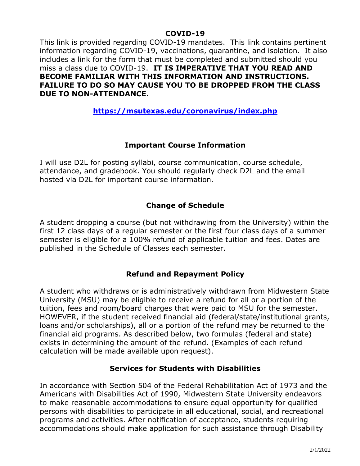#### **COVID-19**

This link is provided regarding COVID-19 mandates. This link contains pertinent information regarding COVID-19, vaccinations, quarantine, and isolation. It also includes a link for the form that must be completed and submitted should you miss a class due to COVID-19. **IT IS IMPERATIVE THAT YOU READ AND BECOME FAMILIAR WITH THIS INFORMATION AND INSTRUCTIONS. FAILURE TO DO SO MAY CAUSE YOU TO BE DROPPED FROM THE CLASS DUE TO NON-ATTENDANCE.**

# **<https://msutexas.edu/coronavirus/index.php>**

# **Important Course Information**

I will use D2L for posting syllabi, course communication, course schedule, attendance, and gradebook. You should regularly check D2L and the email hosted via D2L for important course information.

## **Change of Schedule**

A student dropping a course (but not withdrawing from the University) within the first 12 class days of a regular semester or the first four class days of a summer semester is eligible for a 100% refund of applicable tuition and fees. Dates are published in the Schedule of Classes each semester.

#### **Refund and Repayment Policy**

A student who withdraws or is administratively withdrawn from Midwestern State University (MSU) may be eligible to receive a refund for all or a portion of the tuition, fees and room/board charges that were paid to MSU for the semester. HOWEVER, if the student received financial aid (federal/state/institutional grants, loans and/or scholarships), all or a portion of the refund may be returned to the financial aid programs. As described below, two formulas (federal and state) exists in determining the amount of the refund. (Examples of each refund calculation will be made available upon request).

#### **Services for Students with Disabilities**

In accordance with Section 504 of the Federal Rehabilitation Act of 1973 and the Americans with Disabilities Act of 1990, Midwestern State University endeavors to make reasonable accommodations to ensure equal opportunity for qualified persons with disabilities to participate in all educational, social, and recreational programs and activities. After notification of acceptance, students requiring accommodations should make application for such assistance through Disability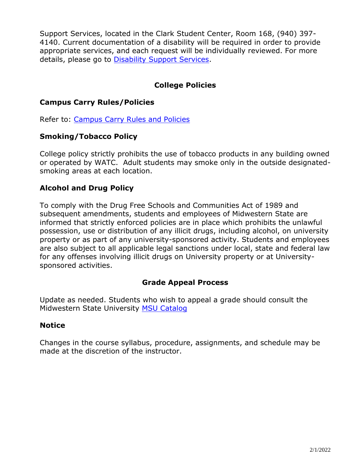Support Services, located in the Clark Student Center, Room 168, (940) 397- 4140. Current documentation of a disability will be required in order to provide appropriate services, and each request will be individually reviewed. For more details, please go to [Disability Support Services.](http://www.mwsu.edu/student-life/disability)

# **College Policies**

# **Campus Carry Rules/Policies**

Refer to: [Campus Carry Rules and Policies](https://mwsu.edu/campus-carry/rules-policies)

#### **Smoking/Tobacco Policy**

College policy strictly prohibits the use of tobacco products in any building owned or operated by WATC. Adult students may smoke only in the outside designatedsmoking areas at each location.

# **Alcohol and Drug Policy**

To comply with the Drug Free Schools and Communities Act of 1989 and subsequent amendments, students and employees of Midwestern State are informed that strictly enforced policies are in place which prohibits the unlawful possession, use or distribution of any illicit drugs, including alcohol, on university property or as part of any university-sponsored activity. Students and employees are also subject to all applicable legal sanctions under local, state and federal law for any offenses involving illicit drugs on University property or at Universitysponsored activities.

#### **Grade Appeal Process**

Update as needed. Students who wish to appeal a grade should consult the Midwestern State University [MSU Catalog](http://catalog.mwsu.edu/content.php?catoid=14&navoid=655#Appeal_of_Course_Grade)

#### **Notice**

Changes in the course syllabus, procedure, assignments, and schedule may be made at the discretion of the instructor.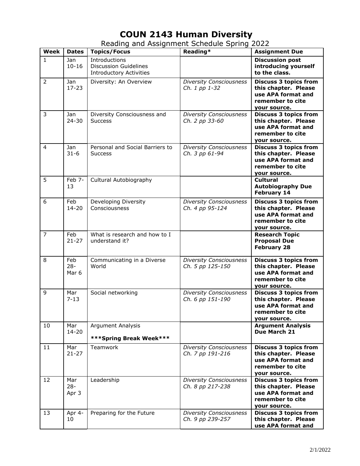# **COUN 2143 Human Diversity**

| Week             | <b>Dates</b>           | <b>Topics/Focus</b>                                                             | Reading*                                           | <b>Assignment Due</b>                                                                                          |
|------------------|------------------------|---------------------------------------------------------------------------------|----------------------------------------------------|----------------------------------------------------------------------------------------------------------------|
| $\mathbf{1}$     | Jan<br>$10 - 16$       | Introductions<br><b>Discussion Guidelines</b><br><b>Introductory Activities</b> |                                                    | <b>Discussion post</b><br>introducing yourself<br>to the class.                                                |
| $\overline{2}$   | Jan<br>$17 - 23$       | Diversity: An Overview                                                          | <b>Diversity Consciousness</b><br>Ch. 1 pp 1-32    | <b>Discuss 3 topics from</b><br>this chapter. Please<br>use APA format and<br>remember to cite<br>your source. |
| $\mathsf{3}$     | Jan<br>$24 - 30$       | Diversity Consciousness and<br><b>Success</b>                                   | <b>Diversity Consciousness</b><br>Ch. 2 pp 33-60   | <b>Discuss 3 topics from</b><br>this chapter. Please<br>use APA format and<br>remember to cite<br>your source. |
| 4                | Jan<br>$31 - 6$        | Personal and Social Barriers to<br><b>Success</b>                               | <b>Diversity Consciousness</b><br>Ch. 3 pp 61-94   | <b>Discuss 3 topics from</b><br>this chapter. Please<br>use APA format and<br>remember to cite<br>your source. |
| 5                | Feb 7-<br>13           | Cultural Autobiography                                                          |                                                    | <b>Cultural</b><br><b>Autobiography Due</b><br><b>February 14</b>                                              |
| $\boldsymbol{6}$ | Feb<br>$14 - 20$       | Developing Diversity<br>Consciousness                                           | <b>Diversity Consciousness</b><br>Ch. 4 pp 95-124  | <b>Discuss 3 topics from</b><br>this chapter. Please<br>use APA format and<br>remember to cite<br>your source. |
| $\overline{7}$   | Feb<br>$21 - 27$       | What is research and how to I<br>understand it?                                 |                                                    | <b>Research Topic</b><br><b>Proposal Due</b><br><b>February 28</b>                                             |
| 8                | Feb<br>$28 -$<br>Mar 6 | Communicating in a Diverse<br>World                                             | <b>Diversity Consciousness</b><br>Ch. 5 pp 125-150 | <b>Discuss 3 topics from</b><br>this chapter. Please<br>use APA format and<br>remember to cite<br>your source. |
| 9                | Mar<br>$7 - 13$        | Social networking                                                               | <b>Diversity Consciousness</b><br>Ch. 6 pp 151-190 | <b>Discuss 3 topics from</b><br>this chapter. Please<br>use APA format and<br>remember to cite<br>your source. |
| 10               | Mar<br>$14 - 20$       | <b>Argument Analysis</b><br>***Spring Break Week***                             |                                                    | <b>Argument Analysis</b><br>Due March 21                                                                       |
| 11               | Mar<br>$21 - 27$       | Teamwork                                                                        | <b>Diversity Consciousness</b><br>Ch. 7 pp 191-216 | <b>Discuss 3 topics from</b><br>this chapter. Please<br>use APA format and<br>remember to cite<br>your source. |
| 12               | Mar<br>$28 -$<br>Apr 3 | Leadership                                                                      | <b>Diversity Consciousness</b><br>Ch. 8 pp 217-238 | <b>Discuss 3 topics from</b><br>this chapter. Please<br>use APA format and<br>remember to cite<br>your source. |
| 13               | Apr 4-<br>10           | Preparing for the Future                                                        | <b>Diversity Consciousness</b><br>Ch. 9 pp 239-257 | <b>Discuss 3 topics from</b><br>this chapter. Please<br>use APA format and                                     |

Reading and Assignment Schedule Spring 2022